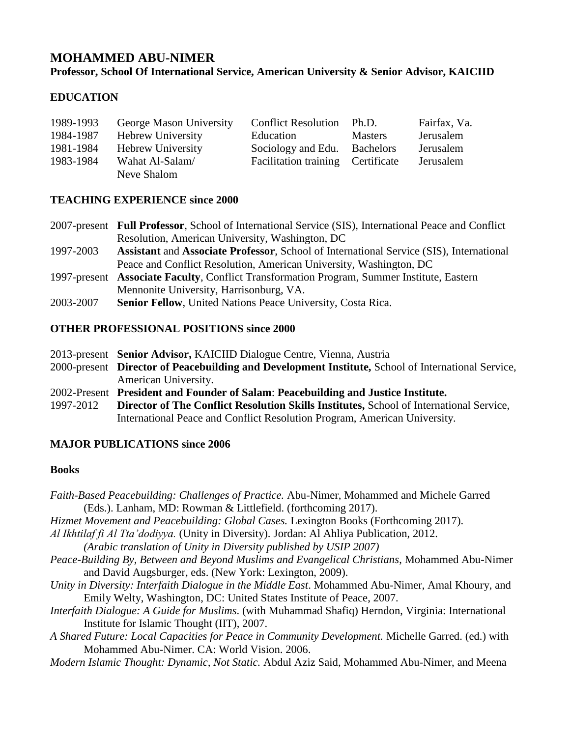# **MOHAMMED ABU-NIMER Professor, School Of International Service, American University & Senior Advisor, KAICIID**

# **EDUCATION**

| 1989-1993 | George Mason University  | <b>Conflict Resolution</b>        | Ph.D.          | Fairfax, Va. |
|-----------|--------------------------|-----------------------------------|----------------|--------------|
| 1984-1987 | <b>Hebrew University</b> | Education                         | <b>Masters</b> | Jerusalem    |
| 1981-1984 | Hebrew University        | Sociology and Edu. Bachelors      |                | Jerusalem    |
| 1983-1984 | Wahat Al-Salam/          | Facilitation training Certificate |                | Jerusalem    |
|           | Neve Shalom              |                                   |                |              |

### **TEACHING EXPERIENCE since 2000**

2007-present **Full Professor**, School of International Service (SIS), International Peace and Conflict Resolution, American University, Washington, DC

- 1997-2003 **Assistant** and **Associate Professor**, School of International Service (SIS), International Peace and Conflict Resolution, American University, Washington, DC
- 1997-present **Associate Faculty**, Conflict Transformation Program, Summer Institute, Eastern Mennonite University, Harrisonburg, VA.
- 2003-2007 **Senior Fellow**, United Nations Peace University, Costa Rica.

# **OTHER PROFESSIONAL POSITIONS since 2000**

- 2013-present **Senior Advisor,** KAICIID Dialogue Centre, Vienna, Austria
- 2000-present **Director of Peacebuilding and Development Institute,** School of International Service, American University.
- 2002-Present **President and Founder of Salam**: **Peacebuilding and Justice Institute.**
- 1997-2012 **Director of The Conflict Resolution Skills Institutes,** School of International Service, International Peace and Conflict Resolution Program, American University.

### **MAJOR PUBLICATIONS since 2006**

### **Books**

- *Faith-Based Peacebuilding: Challenges of Practice.* Abu-Nimer, Mohammed and Michele Garred (Eds.). Lanham, MD: Rowman & Littlefield. (forthcoming 2017).
- *Hizmet Movement and Peacebuilding: Global Cases.* Lexington Books (Forthcoming 2017).
- *Al Ikhtilaf fi Al Tta'dodiyya.* (Unity in Diversity). Jordan: Al Ahliya Publication, 2012.
- *(Arabic translation of Unity in Diversity published by USIP 2007)*
- *Peace-Building By, Between and Beyond Muslims and Evangelical Christians*, Mohammed Abu-Nimer and David Augsburger, eds. (New York: Lexington, 2009).
- *Unity in Diversity: Interfaith Dialogue in the Middle East*. Mohammed Abu-Nimer, Amal Khoury, and Emily Welty, Washington, DC: United States Institute of Peace, 2007.
- *Interfaith Dialogue: A Guide for Muslims*. (with Muhammad Shafiq) Herndon, Virginia: International Institute for Islamic Thought (IIT), 2007.

*A Shared Future: Local Capacities for Peace in Community Development.* Michelle Garred. (ed.) with Mohammed Abu-Nimer. CA: World Vision. 2006.

*Modern Islamic Thought: Dynamic, Not Static.* Abdul Aziz Said, Mohammed Abu-Nimer, and Meena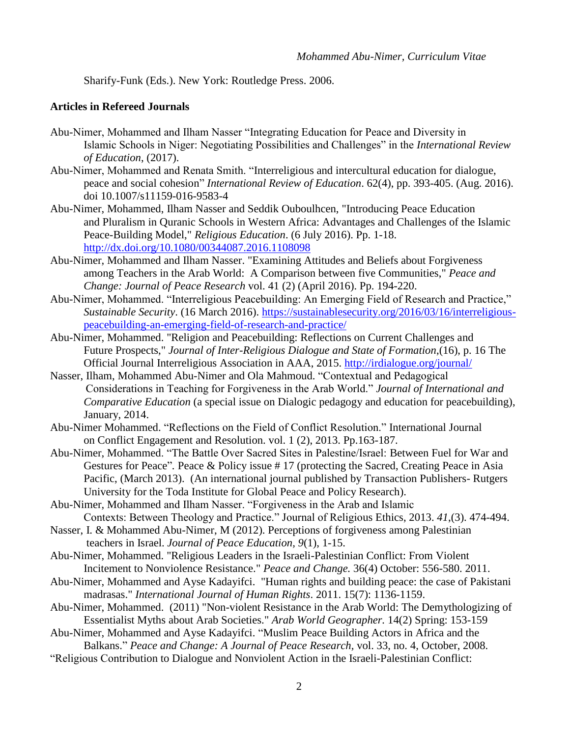Sharify-Funk (Eds.). New York: Routledge Press. 2006.

#### **Articles in Refereed Journals**

- Abu-Nimer, Mohammed and Ilham Nasser "Integrating Education for Peace and Diversity in Islamic Schools in Niger: Negotiating Possibilities and Challenges" in the *International Review of Education*, (2017).
- Abu-Nimer, Mohammed and Renata Smith. "Interreligious and intercultural education for dialogue, peace and social cohesion" *International Review of Education*. 62(4), pp. 393-405. (Aug. 2016). doi 10.1007/s11159-016-9583-4
- Abu-Nimer, Mohammed, Ilham Nasser and Seddik Ouboulhcen, "Introducing Peace Education and Pluralism in Quranic Schools in Western Africa: Advantages and Challenges of the Islamic Peace-Building Model," *Religious Education*. (6 July 2016). Pp. 1-18. <http://dx.doi.org/10.1080/00344087.2016.1108098>
- Abu-Nimer, Mohammed and Ilham Nasser. "Examining Attitudes and Beliefs about Forgiveness among Teachers in the Arab World: A Comparison between five Communities," *Peace and Change: Journal of Peace Research* vol. 41 (2) (April 2016). Pp. 194-220.
- Abu-Nimer, Mohammed. "Interreligious Peacebuilding: An Emerging Field of Research and Practice," *Sustainable Security*. (16 March 2016). [https://sustainablesecurity.org/2016/03/16/interreligious](https://sustainablesecurity.org/2016/03/16/interreligious-peacebuilding-an-emerging-field-of-research-and-practice/)[peacebuilding-an-emerging-field-of-research-and-practice/](https://sustainablesecurity.org/2016/03/16/interreligious-peacebuilding-an-emerging-field-of-research-and-practice/)
- Abu-Nimer, Mohammed. "Religion and Peacebuilding: Reflections on Current Challenges and Future Prospects," *Journal of Inter-Religious Dialogue and State of Formation*,(16), p. 16 The Official Journal Interreligious Association in AAA, 2015. <http://irdialogue.org/journal/>
- Nasser, Ilham, Mohammed Abu-Nimer and Ola Mahmoud. "Contextual and Pedagogical Considerations in Teaching for Forgiveness in the Arab World." *Journal of International and Comparative Education* (a special issue on Dialogic pedagogy and education for peacebuilding), January, 2014.
- Abu-Nimer Mohammed. "Reflections on the Field of Conflict Resolution." International Journal on Conflict Engagement and Resolution. vol. 1 (2), 2013. Pp.163-187.
- Abu-Nimer, Mohammed. "The Battle Over Sacred Sites in Palestine/Israel: Between Fuel for War and Gestures for Peace". Peace & Policy issue #17 (protecting the Sacred, Creating Peace in Asia Pacific, (March 2013). (An international journal published by Transaction Publishers- Rutgers University for the Toda Institute for Global Peace and Policy Research).
- Abu-Nimer, Mohammed and Ilham Nasser. "Forgiveness in the Arab and Islamic Contexts: Between Theology and Practice." Journal of Religious Ethics, 2013. *41*,(3). 474-494.
- Nasser, I. & Mohammed Abu-Nimer, M (2012). Perceptions of forgiveness among Palestinian teachers in Israel. *Journal of Peace Education, 9*(1), 1-15.
- Abu-Nimer, Mohammed. "Religious Leaders in the Israeli-Palestinian Conflict: From Violent Incitement to Nonviolence Resistance." *Peace and Change.* 36(4) October: 556-580. 2011.
- Abu-Nimer, Mohammed and Ayse Kadayifci. "Human rights and building peace: the case of Pakistani madrasas." *International Journal of Human Rights*. 2011. 15(7): 1136-1159.
- Abu-Nimer, Mohammed. (2011) "Non-violent Resistance in the Arab World: The Demythologizing of Essentialist Myths about Arab Societies." *Arab World Geographer.* 14(2) Spring: 153-159
- Abu-Nimer, Mohammed and Ayse Kadayifci. "Muslim Peace Building Actors in Africa and the Balkans." *Peace and Change: A Journal of Peace Research,* vol. 33, no. 4, October, 2008.
- "Religious Contribution to Dialogue and Nonviolent Action in the Israeli-Palestinian Conflict: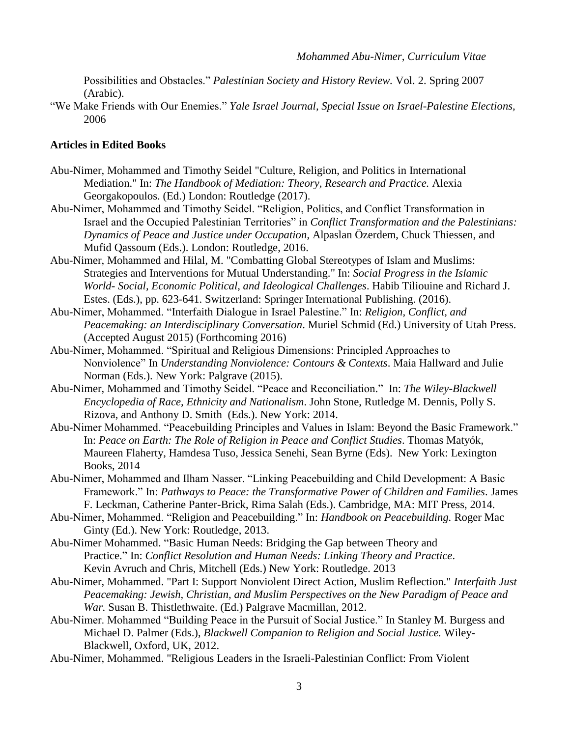Possibilities and Obstacles." *Palestinian Society and History Review.* Vol. 2. Spring 2007 (Arabic).

"We Make Friends with Our Enemies." *Yale Israel Journal, Special Issue on Israel-Palestine Elections,* 2006

#### **Articles in Edited Books**

- Abu-Nimer, Mohammed and Timothy Seidel "Culture, Religion, and Politics in International Mediation." In: *The Handbook of Mediation: Theory, Research and Practice.* Alexia Georgakopoulos. (Ed.) London: Routledge (2017).
- Abu-Nimer, Mohammed and Timothy Seidel. "Religion, Politics, and Conflict Transformation in Israel and the Occupied Palestinian Territories" in *Conflict Transformation and the Palestinians: Dynamics of Peace and Justice under Occupation*, Alpaslan Özerdem, Chuck Thiessen, and Mufid Qassoum (Eds.). London: Routledge, 2016.
- Abu-Nimer, Mohammed and Hilal, M. "Combatting Global Stereotypes of Islam and Muslims: Strategies and Interventions for Mutual Understanding." In: *Social Progress in the Islamic World- Social, Economic Political, and Ideological Challenges*. Habib Tiliouine and Richard J. Estes. (Eds.), pp. 623-641. Switzerland: Springer International Publishing. (2016).
- Abu-Nimer, Mohammed. "Interfaith Dialogue in Israel Palestine." In: *Religion, Conflict, and Peacemaking: an Interdisciplinary Conversation*. Muriel Schmid (Ed.) University of Utah Press. (Accepted August 2015) (Forthcoming 2016)
- Abu-Nimer, Mohammed. "Spiritual and Religious Dimensions: Principled Approaches to Nonviolence" In *Understanding Nonviolence: Contours & Contexts*. Maia Hallward and Julie Norman (Eds.). New York: Palgrave (2015).
- Abu-Nimer, Mohammed and Timothy Seidel. "Peace and Reconciliation." In: *The Wiley-Blackwell Encyclopedia of Race, Ethnicity and Nationalism*. [John Stone,](http://www.bookdepository.com/author/John-Stone) [Rutledge M. Dennis,](http://www.bookdepository.com/author/Rutledge-M-Dennis) [Polly S.](http://www.bookdepository.com/author/Polly-S-Rizova)  [Rizova,](http://www.bookdepository.com/author/Polly-S-Rizova) and [Anthony D. Smith](http://www.bookdepository.com/author/Anthony-D-Smith) (Eds.). New York: 2014.
- Abu-Nimer Mohammed. "Peacebuilding Principles and Values in Islam: Beyond the Basic Framework." In: *Peace on Earth: The Role of Religion in Peace and Conflict Studies*. Thomas Matyók, Maureen Flaherty, Hamdesa Tuso, Jessica Senehi, Sean Byrne (Eds). New York: Lexington Books, 2014
- Abu-Nimer, Mohammed and Ilham Nasser. "Linking Peacebuilding and Child Development: A Basic Framework." In: *Pathways to Peace: the Transformative Power of Children and Families*. James F. Leckman, Catherine Panter-Brick, Rima Salah (Eds.). Cambridge, MA: MIT Press, 2014.
- Abu-Nimer, Mohammed. "Religion and Peacebuilding." In: *Handbook on Peacebuilding.* Roger Mac Ginty (Ed.). New York: Routledge, 2013.
- Abu-Nimer Mohammed. "Basic Human Needs: Bridging the Gap between Theory and Practice." In: *Conflict Resolution and Human Needs: Linking Theory and Practice*. Kevin Avruch and Chris, Mitchell (Eds.) New York: Routledge. 2013
- Abu-Nimer, Mohammed. "Part I: Support Nonviolent Direct Action, Muslim Reflection." *Interfaith Just Peacemaking: Jewish, Christian, and Muslim Perspectives on the New Paradigm of Peace and War.* Susan B. Thistlethwaite. (Ed.) Palgrave Macmillan, 2012.
- Abu-Nimer. Mohammed "Building Peace in the Pursuit of Social Justice." In Stanley M. Burgess and Michael D. Palmer (Eds.), *Blackwell Companion to Religion and Social Justice.* Wiley-Blackwell, Oxford, UK, 2012.
- Abu-Nimer, Mohammed. "Religious Leaders in the Israeli-Palestinian Conflict: From Violent